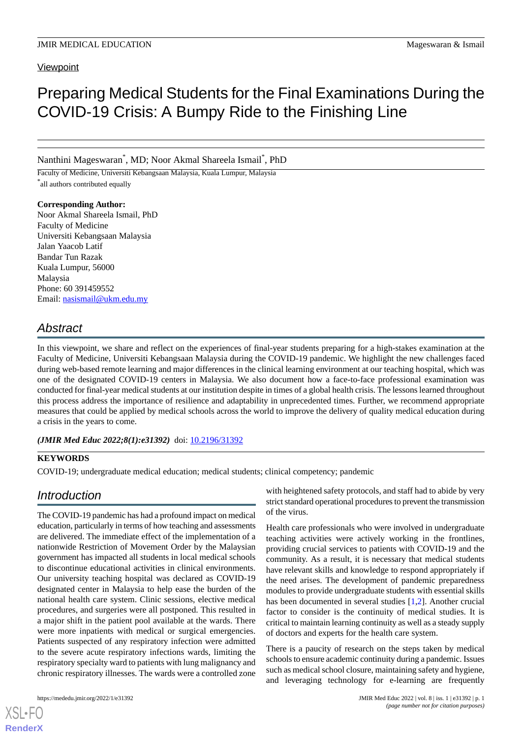### **Viewpoint**

# Preparing Medical Students for the Final Examinations During the COVID-19 Crisis: A Bumpy Ride to the Finishing Line

Nanthini Mageswaran\* , MD; Noor Akmal Shareela Ismail\* , PhD

Faculty of Medicine, Universiti Kebangsaan Malaysia, Kuala Lumpur, Malaysia \* all authors contributed equally

**Corresponding Author:** Noor Akmal Shareela Ismail, PhD Faculty of Medicine Universiti Kebangsaan Malaysia Jalan Yaacob Latif Bandar Tun Razak Kuala Lumpur, 56000 Malaysia Phone: 60 391459552 Email: [nasismail@ukm.edu.my](mailto:nasismail@ukm.edu.my)

# *Abstract*

In this viewpoint, we share and reflect on the experiences of final-year students preparing for a high-stakes examination at the Faculty of Medicine, Universiti Kebangsaan Malaysia during the COVID-19 pandemic. We highlight the new challenges faced during web-based remote learning and major differences in the clinical learning environment at our teaching hospital, which was one of the designated COVID-19 centers in Malaysia. We also document how a face-to-face professional examination was conducted for final-year medical students at our institution despite in times of a global health crisis. The lessons learned throughout this process address the importance of resilience and adaptability in unprecedented times. Further, we recommend appropriate measures that could be applied by medical schools across the world to improve the delivery of quality medical education during a crisis in the years to come.

(JMIR Med Educ 2022;8(1):e31392) doi: [10.2196/31392](http://dx.doi.org/10.2196/31392)

### **KEYWORDS**

COVID-19; undergraduate medical education; medical students; clinical competency; pandemic

### *Introduction*

The COVID-19 pandemic has had a profound impact on medical education, particularly in terms of how teaching and assessments are delivered. The immediate effect of the implementation of a nationwide Restriction of Movement Order by the Malaysian government has impacted all students in local medical schools to discontinue educational activities in clinical environments. Our university teaching hospital was declared as COVID-19 designated center in Malaysia to help ease the burden of the national health care system. Clinic sessions, elective medical procedures, and surgeries were all postponed. This resulted in a major shift in the patient pool available at the wards. There were more inpatients with medical or surgical emergencies. Patients suspected of any respiratory infection were admitted to the severe acute respiratory infections wards, limiting the respiratory specialty ward to patients with lung malignancy and chronic respiratory illnesses. The wards were a controlled zone

with heightened safety protocols, and staff had to abide by very strict standard operational procedures to prevent the transmission of the virus.

Health care professionals who were involved in undergraduate teaching activities were actively working in the frontlines, providing crucial services to patients with COVID-19 and the community. As a result, it is necessary that medical students have relevant skills and knowledge to respond appropriately if the need arises. The development of pandemic preparedness modules to provide undergraduate students with essential skills has been documented in several studies [[1,](#page-4-0)[2](#page-4-1)]. Another crucial factor to consider is the continuity of medical studies. It is critical to maintain learning continuity as well as a steady supply of doctors and experts for the health care system.

There is a paucity of research on the steps taken by medical schools to ensure academic continuity during a pandemic. Issues such as medical school closure, maintaining safety and hygiene, and leveraging technology for e-learning are frequently

[XSL](http://www.w3.org/Style/XSL)•FO **[RenderX](http://www.renderx.com/)**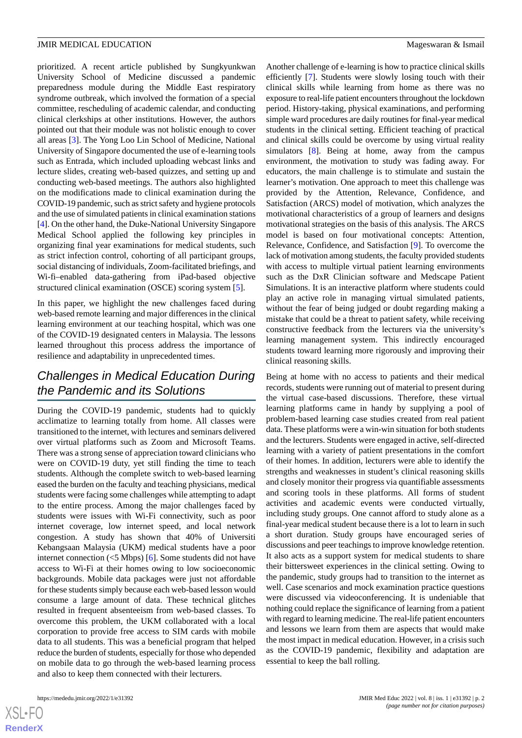prioritized. A recent article published by Sungkyunkwan University School of Medicine discussed a pandemic preparedness module during the Middle East respiratory syndrome outbreak, which involved the formation of a special committee, rescheduling of academic calendar, and conducting clinical clerkships at other institutions. However, the authors pointed out that their module was not holistic enough to cover all areas [[3\]](#page-4-2). The Yong Loo Lin School of Medicine, National University of Singapore documented the use of e-learning tools such as Entrada, which included uploading webcast links and lecture slides, creating web-based quizzes, and setting up and conducting web-based meetings. The authors also highlighted on the modifications made to clinical examination during the COVID-19 pandemic, such as strict safety and hygiene protocols and the use of simulated patients in clinical examination stations [[4\]](#page-4-3). On the other hand, the Duke-National University Singapore Medical School applied the following key principles in organizing final year examinations for medical students, such as strict infection control, cohorting of all participant groups, social distancing of individuals, Zoom-facilitated briefings, and Wi-fi–enabled data-gathering from iPad-based objective structured clinical examination (OSCE) scoring system [\[5](#page-4-4)].

In this paper, we highlight the new challenges faced during web-based remote learning and major differences in the clinical learning environment at our teaching hospital, which was one of the COVID-19 designated centers in Malaysia. The lessons learned throughout this process address the importance of resilience and adaptability in unprecedented times.

## *Challenges in Medical Education During the Pandemic and its Solutions*

During the COVID-19 pandemic, students had to quickly acclimatize to learning totally from home. All classes were transitioned to the internet, with lectures and seminars delivered over virtual platforms such as Zoom and Microsoft Teams. There was a strong sense of appreciation toward clinicians who were on COVID-19 duty, yet still finding the time to teach students. Although the complete switch to web-based learning eased the burden on the faculty and teaching physicians, medical students were facing some challenges while attempting to adapt to the entire process. Among the major challenges faced by students were issues with Wi-Fi connectivity, such as poor internet coverage, low internet speed, and local network congestion. A study has shown that 40% of Universiti Kebangsaan Malaysia (UKM) medical students have a poor internet connection  $\left($  <5 Mbps) [[6\]](#page-4-5). Some students did not have access to Wi-Fi at their homes owing to low socioeconomic backgrounds. Mobile data packages were just not affordable for these students simply because each web-based lesson would consume a large amount of data. These technical glitches resulted in frequent absenteeism from web-based classes. To overcome this problem, the UKM collaborated with a local corporation to provide free access to SIM cards with mobile data to all students. This was a beneficial program that helped reduce the burden of students, especially for those who depended on mobile data to go through the web-based learning process and also to keep them connected with their lecturers.

Another challenge of e-learning is how to practice clinical skills efficiently [[7](#page-4-6)]. Students were slowly losing touch with their clinical skills while learning from home as there was no exposure to real-life patient encounters throughout the lockdown period. History-taking, physical examinations, and performing simple ward procedures are daily routines for final-year medical students in the clinical setting. Efficient teaching of practical and clinical skills could be overcome by using virtual reality simulators [\[8](#page-4-7)]. Being at home, away from the campus environment, the motivation to study was fading away. For educators, the main challenge is to stimulate and sustain the learner's motivation. One approach to meet this challenge was provided by the Attention, Relevance, Confidence, and Satisfaction (ARCS) model of motivation, which analyzes the motivational characteristics of a group of learners and designs motivational strategies on the basis of this analysis. The ARCS model is based on four motivational concepts: Attention, Relevance, Confidence, and Satisfaction [[9\]](#page-4-8). To overcome the lack of motivation among students, the faculty provided students with access to multiple virtual patient learning environments such as the DxR Clinician software and Medscape Patient Simulations. It is an interactive platform where students could play an active role in managing virtual simulated patients, without the fear of being judged or doubt regarding making a mistake that could be a threat to patient safety, while receiving constructive feedback from the lecturers via the university's learning management system. This indirectly encouraged students toward learning more rigorously and improving their clinical reasoning skills.

Being at home with no access to patients and their medical records, students were running out of material to present during the virtual case-based discussions. Therefore, these virtual learning platforms came in handy by supplying a pool of problem-based learning case studies created from real patient data. These platforms were a win-win situation for both students and the lecturers. Students were engaged in active, self-directed learning with a variety of patient presentations in the comfort of their homes. In addition, lecturers were able to identify the strengths and weaknesses in student's clinical reasoning skills and closely monitor their progress via quantifiable assessments and scoring tools in these platforms. All forms of student activities and academic events were conducted virtually, including study groups. One cannot afford to study alone as a final-year medical student because there is a lot to learn in such a short duration. Study groups have encouraged series of discussions and peer teachings to improve knowledge retention. It also acts as a support system for medical students to share their bittersweet experiences in the clinical setting. Owing to the pandemic, study groups had to transition to the internet as well. Case scenarios and mock examination practice questions were discussed via videoconferencing. It is undeniable that nothing could replace the significance of learning from a patient with regard to learning medicine. The real-life patient encounters and lessons we learn from them are aspects that would make the most impact in medical education. However, in a crisis such as the COVID-19 pandemic, flexibility and adaptation are essential to keep the ball rolling.

```
XS-FO
RenderX
```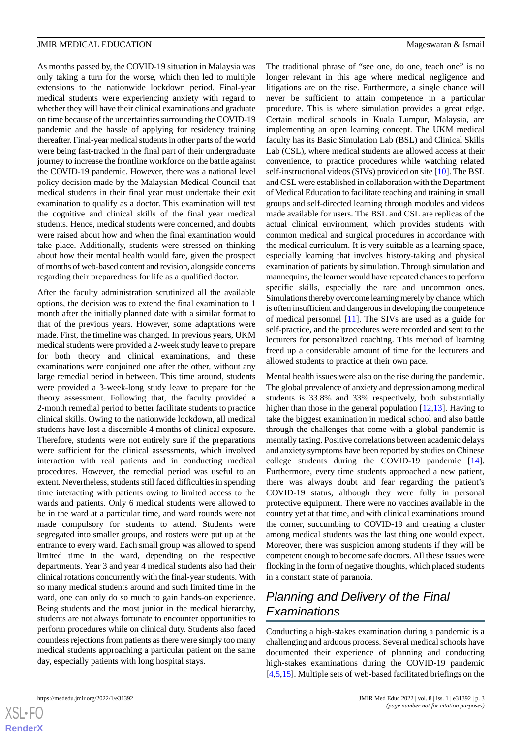As months passed by, the COVID-19 situation in Malaysia was only taking a turn for the worse, which then led to multiple extensions to the nationwide lockdown period. Final-year medical students were experiencing anxiety with regard to whether they will have their clinical examinations and graduate on time because of the uncertainties surrounding the COVID-19 pandemic and the hassle of applying for residency training thereafter. Final-year medical students in other parts of the world were being fast-tracked in the final part of their undergraduate journey to increase the frontline workforce on the battle against the COVID-19 pandemic. However, there was a national level policy decision made by the Malaysian Medical Council that medical students in their final year must undertake their exit examination to qualify as a doctor. This examination will test the cognitive and clinical skills of the final year medical students. Hence, medical students were concerned, and doubts were raised about how and when the final examination would take place. Additionally, students were stressed on thinking about how their mental health would fare, given the prospect of months of web-based content and revision, alongside concerns regarding their preparedness for life as a qualified doctor.

After the faculty administration scrutinized all the available options, the decision was to extend the final examination to 1 month after the initially planned date with a similar format to that of the previous years. However, some adaptations were made. First, the timeline was changed. In previous years, UKM medical students were provided a 2-week study leave to prepare for both theory and clinical examinations, and these examinations were conjoined one after the other, without any large remedial period in between. This time around, students were provided a 3-week-long study leave to prepare for the theory assessment. Following that, the faculty provided a 2-month remedial period to better facilitate students to practice clinical skills. Owing to the nationwide lockdown, all medical students have lost a discernible 4 months of clinical exposure. Therefore, students were not entirely sure if the preparations were sufficient for the clinical assessments, which involved interaction with real patients and in conducting medical procedures. However, the remedial period was useful to an extent. Nevertheless, students still faced difficulties in spending time interacting with patients owing to limited access to the wards and patients. Only 6 medical students were allowed to be in the ward at a particular time, and ward rounds were not made compulsory for students to attend. Students were segregated into smaller groups, and rosters were put up at the entrance to every ward. Each small group was allowed to spend limited time in the ward, depending on the respective departments. Year 3 and year 4 medical students also had their clinical rotations concurrently with the final-year students. With so many medical students around and such limited time in the ward, one can only do so much to gain hands-on experience. Being students and the most junior in the medical hierarchy, students are not always fortunate to encounter opportunities to perform procedures while on clinical duty. Students also faced countless rejections from patients as there were simply too many medical students approaching a particular patient on the same day, especially patients with long hospital stays.

The traditional phrase of "see one, do one, teach one" is no longer relevant in this age where medical negligence and litigations are on the rise. Furthermore, a single chance will never be sufficient to attain competence in a particular procedure. This is where simulation provides a great edge. Certain medical schools in Kuala Lumpur, Malaysia, are implementing an open learning concept. The UKM medical faculty has its Basic Simulation Lab (BSL) and Clinical Skills Lab (CSL), where medical students are allowed access at their convenience, to practice procedures while watching related self-instructional videos (SIVs) provided on site [[10\]](#page-4-9). The BSL and CSL were established in collaboration with the Department of Medical Education to facilitate teaching and training in small groups and self-directed learning through modules and videos made available for users. The BSL and CSL are replicas of the actual clinical environment, which provides students with common medical and surgical procedures in accordance with the medical curriculum. It is very suitable as a learning space, especially learning that involves history-taking and physical examination of patients by simulation. Through simulation and mannequins, the learner would have repeated chances to perform specific skills, especially the rare and uncommon ones. Simulations thereby overcome learning merely by chance, which is often insufficient and dangerous in developing the competence of medical personnel [\[11](#page-4-10)]. The SIVs are used as a guide for self-practice, and the procedures were recorded and sent to the lecturers for personalized coaching. This method of learning freed up a considerable amount of time for the lecturers and allowed students to practice at their own pace.

Mental health issues were also on the rise during the pandemic. The global prevalence of anxiety and depression among medical students is 33.8% and 33% respectively, both substantially higher than those in the general population [[12](#page-4-11)[,13](#page-4-12)]. Having to take the biggest examination in medical school and also battle through the challenges that come with a global pandemic is mentally taxing. Positive correlations between academic delays and anxiety symptoms have been reported by studies on Chinese college students during the COVID-19 pandemic [[14\]](#page-4-13). Furthermore, every time students approached a new patient, there was always doubt and fear regarding the patient's COVID-19 status, although they were fully in personal protective equipment. There were no vaccines available in the country yet at that time, and with clinical examinations around the corner, succumbing to COVID-19 and creating a cluster among medical students was the last thing one would expect. Moreover, there was suspicion among students if they will be competent enough to become safe doctors. All these issues were flocking in the form of negative thoughts, which placed students in a constant state of paranoia.

## *Planning and Delivery of the Final Examinations*

Conducting a high-stakes examination during a pandemic is a challenging and arduous process. Several medical schools have documented their experience of planning and conducting high-stakes examinations during the COVID-19 pandemic [[4](#page-4-3)[,5,](#page-4-4)[15\]](#page-4-14). Multiple sets of web-based facilitated briefings on the

```
XS • FC
```
**[RenderX](http://www.renderx.com/)**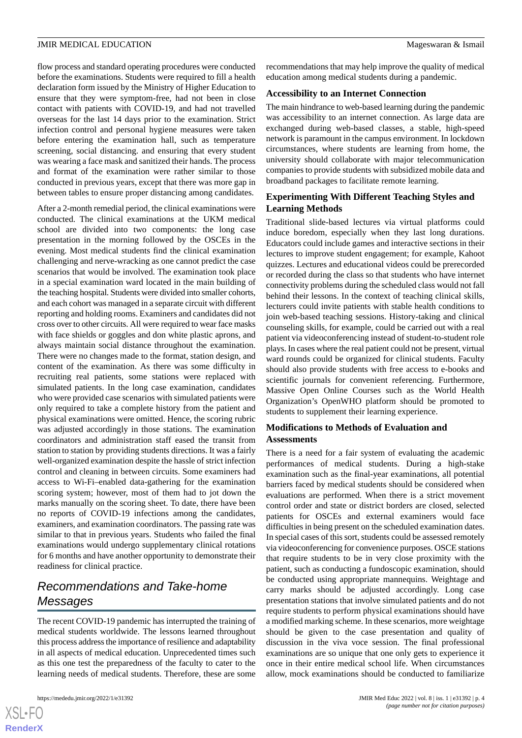flow process and standard operating procedures were conducted before the examinations. Students were required to fill a health declaration form issued by the Ministry of Higher Education to ensure that they were symptom-free, had not been in close contact with patients with COVID-19, and had not travelled overseas for the last 14 days prior to the examination. Strict infection control and personal hygiene measures were taken before entering the examination hall, such as temperature screening, social distancing. and ensuring that every student was wearing a face mask and sanitized their hands. The process and format of the examination were rather similar to those conducted in previous years, except that there was more gap in between tables to ensure proper distancing among candidates.

After a 2-month remedial period, the clinical examinations were conducted. The clinical examinations at the UKM medical school are divided into two components: the long case presentation in the morning followed by the OSCEs in the evening. Most medical students find the clinical examination challenging and nerve-wracking as one cannot predict the case scenarios that would be involved. The examination took place in a special examination ward located in the main building of the teaching hospital. Students were divided into smaller cohorts, and each cohort was managed in a separate circuit with different reporting and holding rooms. Examiners and candidates did not cross over to other circuits. All were required to wear face masks with face shields or goggles and don white plastic aprons, and always maintain social distance throughout the examination. There were no changes made to the format, station design, and content of the examination. As there was some difficulty in recruiting real patients, some stations were replaced with simulated patients. In the long case examination, candidates who were provided case scenarios with simulated patients were only required to take a complete history from the patient and physical examinations were omitted. Hence, the scoring rubric was adjusted accordingly in those stations. The examination coordinators and administration staff eased the transit from station to station by providing students directions. It was a fairly well-organized examination despite the hassle of strict infection control and cleaning in between circuits. Some examiners had access to Wi-Fi–enabled data-gathering for the examination scoring system; however, most of them had to jot down the marks manually on the scoring sheet. To date, there have been no reports of COVID-19 infections among the candidates, examiners, and examination coordinators. The passing rate was similar to that in previous years. Students who failed the final examinations would undergo supplementary clinical rotations for 6 months and have another opportunity to demonstrate their readiness for clinical practice.

# *Recommendations and Take-home Messages*

The recent COVID-19 pandemic has interrupted the training of medical students worldwide. The lessons learned throughout this process address the importance of resilience and adaptability in all aspects of medical education. Unprecedented times such as this one test the preparedness of the faculty to cater to the learning needs of medical students. Therefore, these are some

recommendations that may help improve the quality of medical education among medical students during a pandemic.

### **Accessibility to an Internet Connection**

The main hindrance to web-based learning during the pandemic was accessibility to an internet connection. As large data are exchanged during web-based classes, a stable, high-speed network is paramount in the campus environment. In lockdown circumstances, where students are learning from home, the university should collaborate with major telecommunication companies to provide students with subsidized mobile data and broadband packages to facilitate remote learning.

### **Experimenting With Different Teaching Styles and Learning Methods**

Traditional slide-based lectures via virtual platforms could induce boredom, especially when they last long durations. Educators could include games and interactive sections in their lectures to improve student engagement; for example, Kahoot quizzes. Lectures and educational videos could be prerecorded or recorded during the class so that students who have internet connectivity problems during the scheduled class would not fall behind their lessons. In the context of teaching clinical skills, lecturers could invite patients with stable health conditions to join web-based teaching sessions. History-taking and clinical counseling skills, for example, could be carried out with a real patient via videoconferencing instead of student-to-student role plays. In cases where the real patient could not be present, virtual ward rounds could be organized for clinical students. Faculty should also provide students with free access to e-books and scientific journals for convenient referencing. Furthermore, Massive Open Online Courses such as the World Health Organization's OpenWHO platform should be promoted to students to supplement their learning experience.

### **Modifications to Methods of Evaluation and Assessments**

There is a need for a fair system of evaluating the academic performances of medical students. During a high-stake examination such as the final-year examinations, all potential barriers faced by medical students should be considered when evaluations are performed. When there is a strict movement control order and state or district borders are closed, selected patients for OSCEs and external examiners would face difficulties in being present on the scheduled examination dates. In special cases of this sort, students could be assessed remotely via videoconferencing for convenience purposes. OSCE stations that require students to be in very close proximity with the patient, such as conducting a fundoscopic examination, should be conducted using appropriate mannequins. Weightage and carry marks should be adjusted accordingly. Long case presentation stations that involve simulated patients and do not require students to perform physical examinations should have a modified marking scheme. In these scenarios, more weightage should be given to the case presentation and quality of discussion in the viva voce session. The final professional examinations are so unique that one only gets to experience it once in their entire medical school life. When circumstances allow, mock examinations should be conducted to familiarize

```
XS\cdotFC
RenderX
```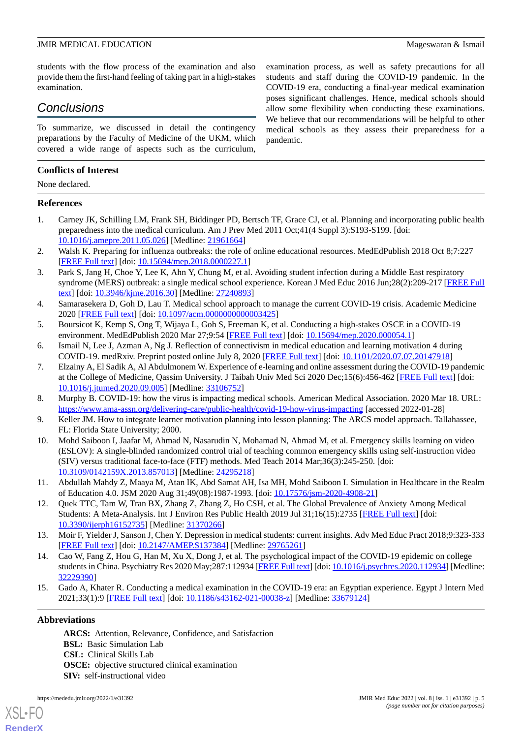students with the flow process of the examination and also provide them the first-hand feeling of taking part in a high-stakes examination.

### *Conclusions*

To summarize, we discussed in detail the contingency preparations by the Faculty of Medicine of the UKM, which covered a wide range of aspects such as the curriculum,

### **Conflicts of Interest**

None declared.

### <span id="page-4-0"></span>**References**

- <span id="page-4-1"></span>1. Carney JK, Schilling LM, Frank SH, Biddinger PD, Bertsch TF, Grace CJ, et al. Planning and incorporating public health preparedness into the medical curriculum. Am J Prev Med 2011 Oct;41(4 Suppl 3):S193-S199. [doi: [10.1016/j.amepre.2011.05.026](http://dx.doi.org/10.1016/j.amepre.2011.05.026)] [Medline: [21961664\]](http://www.ncbi.nlm.nih.gov/entrez/query.fcgi?cmd=Retrieve&db=PubMed&list_uids=21961664&dopt=Abstract)
- <span id="page-4-2"></span>2. Walsh K. Preparing for influenza outbreaks: the role of online educational resources. MedEdPublish 2018 Oct 8;7:227 [[FREE Full text](https://doi.org/10.15694/mep.2018.0000227.1)] [doi: [10.15694/mep.2018.0000227.1](http://dx.doi.org/10.15694/mep.2018.0000227.1)]
- <span id="page-4-3"></span>3. Park S, Jang H, Choe Y, Lee K, Ahn Y, Chung M, et al. Avoiding student infection during a Middle East respiratory syndrome (MERS) outbreak: a single medical school experience. Korean J Med Educ 2016 Jun;28(2):209-217 [[FREE Full](https://dx.doi.org/10.3946/kjme.2016.30) [text](https://dx.doi.org/10.3946/kjme.2016.30)] [doi: [10.3946/kjme.2016.30\]](http://dx.doi.org/10.3946/kjme.2016.30) [Medline: [27240893\]](http://www.ncbi.nlm.nih.gov/entrez/query.fcgi?cmd=Retrieve&db=PubMed&list_uids=27240893&dopt=Abstract)
- <span id="page-4-5"></span><span id="page-4-4"></span>4. Samarasekera D, Goh D, Lau T. Medical school approach to manage the current COVID-19 crisis. Academic Medicine 2020 [\[FREE Full text\]](https://doi.org/10.15694/mep.2020.000092.1) [doi: [10.1097/acm.0000000000003425](http://dx.doi.org/10.1097/acm.0000000000003425)]
- <span id="page-4-6"></span>5. Boursicot K, Kemp S, Ong T, Wijaya L, Goh S, Freeman K, et al. Conducting a high-stakes OSCE in a COVID-19 environment. MedEdPublish 2020 Mar 27;9:54 [[FREE Full text](https://doi.org/10.15694/mep.2020.000054.1)] [doi: [10.15694/mep.2020.000054.1](http://dx.doi.org/10.15694/mep.2020.000054.1)]
- 6. Ismail N, Lee J, Azman A, Ng J. Reflection of connectivism in medical education and learning motivation 4 during COVID-19. medRxiv. Preprint posted online July 8, 2020 [[FREE Full text](https://doi.org/10.1101/2020.07.07.20147918)] [doi: [10.1101/2020.07.07.20147918](http://dx.doi.org/10.1101/2020.07.07.20147918)]
- <span id="page-4-8"></span><span id="page-4-7"></span>7. Elzainy A, El Sadik A, Al Abdulmonem W. Experience of e-learning and online assessment during the COVID-19 pandemic at the College of Medicine, Qassim University. J Taibah Univ Med Sci 2020 Dec;15(6):456-462 [[FREE Full text](https://linkinghub.elsevier.com/retrieve/pii/S1658-3612(20)30151-7)] [doi: [10.1016/j.jtumed.2020.09.005](http://dx.doi.org/10.1016/j.jtumed.2020.09.005)] [Medline: [33106752](http://www.ncbi.nlm.nih.gov/entrez/query.fcgi?cmd=Retrieve&db=PubMed&list_uids=33106752&dopt=Abstract)]
- <span id="page-4-9"></span>8. Murphy B. COVID-19: how the virus is impacting medical schools. American Medical Association. 2020 Mar 18. URL: <https://www.ama-assn.org/delivering-care/public-health/covid-19-how-virus-impacting> [accessed 2022-01-28]
- 9. Keller JM. How to integrate learner motivation planning into lesson planning: The ARCS model approach. Tallahassee, FL: Florida State University; 2000.
- <span id="page-4-11"></span><span id="page-4-10"></span>10. Mohd Saiboon I, Jaafar M, Ahmad N, Nasarudin N, Mohamad N, Ahmad M, et al. Emergency skills learning on video (ESLOV): A single-blinded randomized control trial of teaching common emergency skills using self-instruction video (SIV) versus traditional face-to-face (FTF) methods. Med Teach 2014 Mar;36(3):245-250. [doi: [10.3109/0142159X.2013.857013](http://dx.doi.org/10.3109/0142159X.2013.857013)] [Medline: [24295218\]](http://www.ncbi.nlm.nih.gov/entrez/query.fcgi?cmd=Retrieve&db=PubMed&list_uids=24295218&dopt=Abstract)
- <span id="page-4-12"></span>11. Abdullah Mahdy Z, Maaya M, Atan IK, Abd Samat AH, Isa MH, Mohd Saiboon I. Simulation in Healthcare in the Realm of Education 4.0. JSM 2020 Aug 31;49(08):1987-1993. [doi: [10.17576/jsm-2020-4908-21\]](http://dx.doi.org/10.17576/jsm-2020-4908-21)
- <span id="page-4-13"></span>12. Quek TTC, Tam W, Tran BX, Zhang Z, Zhang Z, Ho CSH, et al. The Global Prevalence of Anxiety Among Medical Students: A Meta-Analysis. Int J Environ Res Public Health 2019 Jul 31;16(15):2735 [[FREE Full text](https://www.mdpi.com/resolver?pii=ijerph16152735)] [doi: [10.3390/ijerph16152735](http://dx.doi.org/10.3390/ijerph16152735)] [Medline: [31370266\]](http://www.ncbi.nlm.nih.gov/entrez/query.fcgi?cmd=Retrieve&db=PubMed&list_uids=31370266&dopt=Abstract)
- <span id="page-4-14"></span>13. Moir F, Yielder J, Sanson J, Chen Y. Depression in medical students: current insights. Adv Med Educ Pract 2018;9:323-333 [[FREE Full text](https://dx.doi.org/10.2147/AMEP.S137384)] [doi: [10.2147/AMEP.S137384\]](http://dx.doi.org/10.2147/AMEP.S137384) [Medline: [29765261](http://www.ncbi.nlm.nih.gov/entrez/query.fcgi?cmd=Retrieve&db=PubMed&list_uids=29765261&dopt=Abstract)]
- 14. Cao W, Fang Z, Hou G, Han M, Xu X, Dong J, et al. The psychological impact of the COVID-19 epidemic on college students in China. Psychiatry Res 2020 May;287:112934 [\[FREE Full text](http://europepmc.org/abstract/MED/32229390)] [doi: [10.1016/j.psychres.2020.112934](http://dx.doi.org/10.1016/j.psychres.2020.112934)] [Medline: [32229390](http://www.ncbi.nlm.nih.gov/entrez/query.fcgi?cmd=Retrieve&db=PubMed&list_uids=32229390&dopt=Abstract)]
- 15. Gado A, Khater R. Conducting a medical examination in the COVID-19 era: an Egyptian experience. Egypt J Intern Med 2021;33(1):9 [[FREE Full text\]](http://europepmc.org/abstract/MED/33679124) [doi: [10.1186/s43162-021-00038-z\]](http://dx.doi.org/10.1186/s43162-021-00038-z) [Medline: [33679124\]](http://www.ncbi.nlm.nih.gov/entrez/query.fcgi?cmd=Retrieve&db=PubMed&list_uids=33679124&dopt=Abstract)

### **Abbreviations**

[XSL](http://www.w3.org/Style/XSL)•FO **[RenderX](http://www.renderx.com/)**

**ARCS:** Attention, Relevance, Confidence, and Satisfaction **BSL:** Basic Simulation Lab **CSL:** Clinical Skills Lab **OSCE:** objective structured clinical examination **SIV:** self-instructional video